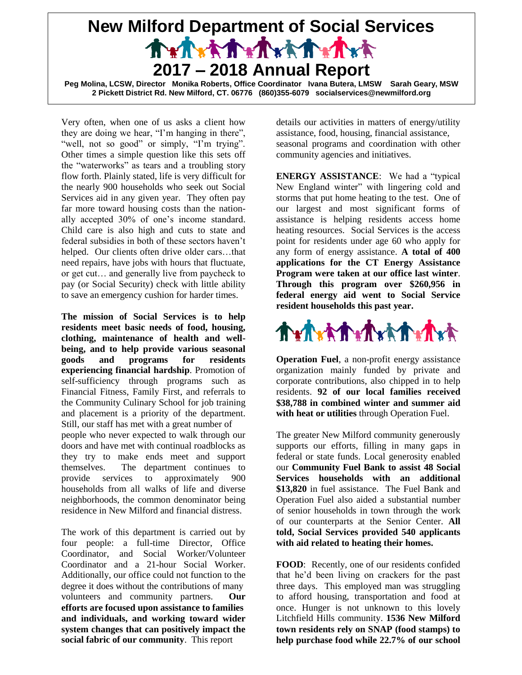## **New Milford Department of Social Services** Trench that which **2017 – 2018 Annual Report Peg Molina, LCSW, Director Monika Roberts, Office Coordinator Ivana Butera, LMSW Sarah Geary, MSW 2 Pickett District Rd. New Milford, CT. 06776 (860)355-6079 socialservices@newmilford.org**

Very often, when one of us asks a client how they are doing we hear, "I'm hanging in there", "well, not so good" or simply, "I'm trying". Other times a simple question like this sets off the "waterworks" as tears and a troubling story flow forth. Plainly stated, life is very difficult for the nearly 900 households who seek out Social Services aid in any given year. They often pay far more toward housing costs than the nationally accepted 30% of one's income standard. Child care is also high and cuts to state and federal subsidies in both of these sectors haven't helped. Our clients often drive older cars…that need repairs, have jobs with hours that fluctuate, or get cut… and generally live from paycheck to pay (or Social Security) check with little ability to save an emergency cushion for harder times.

**The mission of Social Services is to help residents meet basic needs of food, housing, clothing, maintenance of health and wellbeing, and to help provide various seasonal goods and programs for residents experiencing financial hardship**. Promotion of self-sufficiency through programs such as Financial Fitness, Family First, and referrals to the Community Culinary School for job training and placement is a priority of the department. Still, our staff has met with a great number of people who never expected to walk through our doors and have met with continual roadblocks as they try to make ends meet and support themselves. The department continues to provide services to approximately 900 households from all walks of life and diverse neighborhoods, the common denominator being residence in New Milford and financial distress.

The work of this department is carried out by four people: a full-time Director, Office Coordinator, and Social Worker/Volunteer Coordinator and a 21-hour Social Worker. Additionally, our office could not function to the degree it does without the contributions of many volunteers and community partners. **Our efforts are focused upon assistance to families and individuals, and working toward wider system changes that can positively impact the social fabric of our community**. This report

details our activities in matters of energy/utility assistance, food, housing, financial assistance, seasonal programs and coordination with other community agencies and initiatives.

**ENERGY ASSISTANCE**: We had a "typical New England winter" with lingering cold and storms that put home heating to the test. One of our largest and most significant forms of assistance is helping residents access home heating resources. Social Services is the access point for residents under age 60 who apply for any form of energy assistance. **A total of 400 applications for the CT Energy Assistance Program were taken at our office last winter**. **Through this program over \$260,956 in federal energy aid went to Social Service resident households this past year.**



**Operation Fuel**, a non-profit energy assistance organization mainly funded by private and corporate contributions, also chipped in to help residents. **92 of our local families received \$38,788 in combined winter and summer aid with heat or utilities** through Operation Fuel.

The greater New Milford community generously supports our efforts, filling in many gaps in federal or state funds. Local generosity enabled our **Community Fuel Bank to assist 48 Social Services households with an additional \$13,820** in fuel assistance. The Fuel Bank and Operation Fuel also aided a substantial number of senior households in town through the work of our counterparts at the Senior Center. **All told, Social Services provided 540 applicants with aid related to heating their homes.**

**FOOD**: Recently, one of our residents confided that he'd been living on crackers for the past three days. This employed man was struggling to afford housing, transportation and food at once. Hunger is not unknown to this lovely Litchfield Hills community. **1536 New Milford town residents rely on SNAP (food stamps) to help purchase food while 22.7% of our school**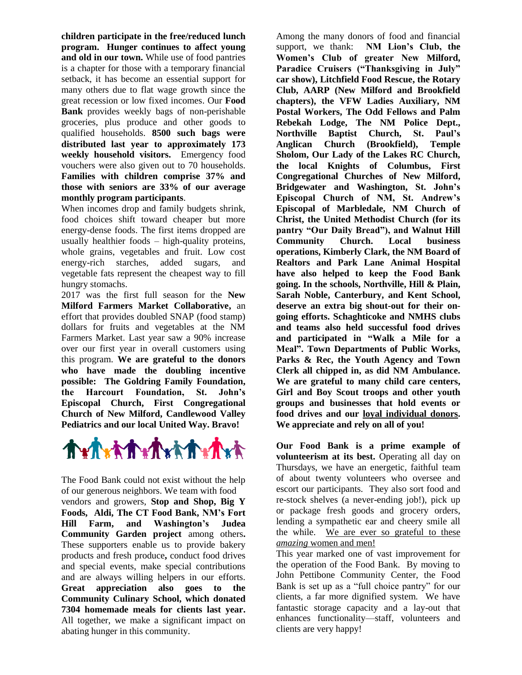**children participate in the free/reduced lunch program. Hunger continues to affect young and old in our town.** While use of food pantries is a chapter for those with a temporary financial setback, it has become an essential support for many others due to flat wage growth since the great recession or low fixed incomes. Our **Food Bank** provides weekly bags of non-perishable groceries, plus produce and other goods to qualified households. **8500 such bags were distributed last year to approximately 173 weekly household visitors.** Emergency food vouchers were also given out to 70 households. **Families with children comprise 37% and those with seniors are 33% of our average monthly program participants**.

When incomes drop and family budgets shrink, food choices shift toward cheaper but more energy-dense foods. The first items dropped are usually healthier foods – high-quality proteins, whole grains, vegetables and fruit. Low cost energy-rich starches, added sugars, and vegetable fats represent the cheapest way to fill hungry stomachs.

2017 was the first full season for the **New Milford Farmers Market Collaborative,** an effort that provides doubled SNAP (food stamp) dollars for fruits and vegetables at the NM Farmers Market. Last year saw a 90% increase over our first year in overall customers using this program. **We are grateful to the donors who have made the doubling incentive possible: The Goldring Family Foundation, the Harcourt Foundation, St. John's Episcopal Church, First Congregational Church of New Milford, Candlewood Valley Pediatrics and our local United Way. Bravo!**



The Food Bank could not exist without the help of our generous neighbors. We team with food vendors and growers, **Stop and Shop, Big Y Foods, Aldi, The CT Food Bank, NM's Fort Hill Farm, and Washington's Judea Community Garden project** among others**.**  These supporters enable us to provide bakery products and fresh produce**,** conduct food drives and special events, make special contributions and are always willing helpers in our efforts. **Great appreciation also goes to the Community Culinary School, which donated 7304 homemade meals for clients last year.**  All together, we make a significant impact on abating hunger in this community.

Among the many donors of food and financial support, we thank: **NM Lion's Club, the Women's Club of greater New Milford, Paradice Cruisers ("Thanksgiving in July" car show), Litchfield Food Rescue, the Rotary Club, AARP (New Milford and Brookfield chapters), the VFW Ladies Auxiliary, NM Postal Workers, The Odd Fellows and Palm Rebekah Lodge, The NM Police Dept., Northville Baptist Church, St. Paul's Anglican Church (Brookfield), Temple Sholom, Our Lady of the Lakes RC Church, the local Knights of Columbus, First Congregational Churches of New Milford, Bridgewater and Washington, St. John's Episcopal Church of NM, St. Andrew's Episcopal of Marbledale, NM Church of Christ, the United Methodist Church (for its pantry "Our Daily Bread"), and Walnut Hill Community Church. Local business operations, Kimberly Clark, the NM Board of Realtors and Park Lane Animal Hospital have also helped to keep the Food Bank going. In the schools, Northville, Hill & Plain, Sarah Noble, Canterbury, and Kent School, deserve an extra big shout-out for their ongoing efforts. Schaghticoke and NMHS clubs and teams also held successful food drives and participated in "Walk a Mile for a Meal". Town Departments of Public Works, Parks & Rec, the Youth Agency and Town Clerk all chipped in, as did NM Ambulance. We are grateful to many child care centers, Girl and Boy Scout troops and other youth groups and businesses that hold events or food drives and our loyal individual donors. We appreciate and rely on all of you!**

**Our Food Bank is a prime example of volunteerism at its best.** Operating all day on Thursdays, we have an energetic, faithful team of about twenty volunteers who oversee and escort our participants. They also sort food and re-stock shelves (a never-ending job!), pick up or package fresh goods and grocery orders, lending a sympathetic ear and cheery smile all the while. We are ever so grateful to these *amazing* women and men!

This year marked one of vast improvement for the operation of the Food Bank. By moving to John Pettibone Community Center, the Food Bank is set up as a "full choice pantry" for our clients, a far more dignified system. We have fantastic storage capacity and a lay-out that enhances functionality—staff, volunteers and clients are very happy!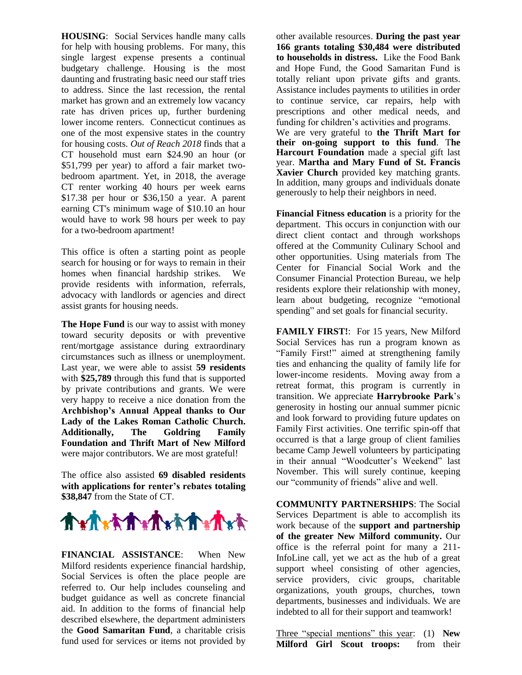**HOUSING**: Social Services handle many calls for help with housing problems. For many, this single largest expense presents a continual budgetary challenge. Housing is the most daunting and frustrating basic need our staff tries to address. Since the last recession, the rental market has grown and an extremely low vacancy rate has driven prices up, further burdening lower income renters. Connecticut continues as one of the most expensive states in the country for housing costs. *Out of Reach 2018* finds that a CT household must earn \$24.90 an hour (or \$51,799 per year) to afford a fair market twobedroom apartment. Yet, in 2018, the average CT renter working 40 hours per week earns \$17.38 per hour or \$36,150 a year. A parent earning CT's minimum wage of \$10.10 an hour would have to work 98 hours per week to pay for a two-bedroom apartment!

This office is often a starting point as people search for housing or for ways to remain in their homes when financial hardship strikes. We provide residents with information, referrals, advocacy with landlords or agencies and direct assist grants for housing needs.

**The Hope Fund** is our way to assist with money toward security deposits or with preventive rent/mortgage assistance during extraordinary circumstances such as illness or unemployment. Last year, we were able to assist **59 residents** with **\$25,789** through this fund that is supported by private contributions and grants. We were very happy to receive a nice donation from the **Archbishop's Annual Appeal thanks to Our Lady of the Lakes Roman Catholic Church. Additionally, The Goldring Family Foundation and Thrift Mart of New Milford** were major contributors. We are most grateful!

The office also assisted **69 disabled residents with applications for renter's rebates totaling \$38,847** from the State of CT.



**FINANCIAL ASSISTANCE**: When New Milford residents experience financial hardship, Social Services is often the place people are referred to. Our help includes counseling and budget guidance as well as concrete financial aid. In addition to the forms of financial help described elsewhere, the department administers the **Good Samaritan Fund**, a charitable crisis fund used for services or items not provided by

other available resources. **During the past year 166 grants totaling \$30,484 were distributed to households in distress.** Like the Food Bank and Hope Fund, the Good Samaritan Fund is totally reliant upon private gifts and grants. Assistance includes payments to utilities in order to continue service, car repairs, help with prescriptions and other medical needs, and funding for children's activities and programs. We are very grateful to **the Thrift Mart for their on-going support to this fund**. T**he Harcourt Foundation** made a special gift last year. **Martha and Mary Fund of St. Francis Xavier Church** provided key matching grants. In addition, many groups and individuals donate generously to help their neighbors in need.

**Financial Fitness education** is a priority for the department. This occurs in conjunction with our direct client contact and through workshops offered at the Community Culinary School and other opportunities. Using materials from The Center for Financial Social Work and the Consumer Financial Protection Bureau, we help residents explore their relationship with money, learn about budgeting, recognize "emotional spending" and set goals for financial security.

FAMILY FIRST!: For 15 years, New Milford Social Services has run a program known as "Family First!" aimed at strengthening family ties and enhancing the quality of family life for lower-income residents. Moving away from a retreat format, this program is currently in transition. We appreciate **Harrybrooke Park**'s generosity in hosting our annual summer picnic and look forward to providing future updates on Family First activities. One terrific spin-off that occurred is that a large group of client families became Camp Jewell volunteers by participating in their annual "Woodcutter's Weekend" last November. This will surely continue, keeping our "community of friends" alive and well.

**COMMUNITY PARTNERSHIPS**: The Social Services Department is able to accomplish its work because of the **support and partnership of the greater New Milford community.** Our office is the referral point for many a 211- InfoLine call, yet we act as the hub of a great support wheel consisting of other agencies, service providers, civic groups, charitable organizations, youth groups, churches, town departments, businesses and individuals. We are indebted to all for their support and teamwork!

Three "special mentions" this year: (1) **New Milford Girl Scout troops:** from their